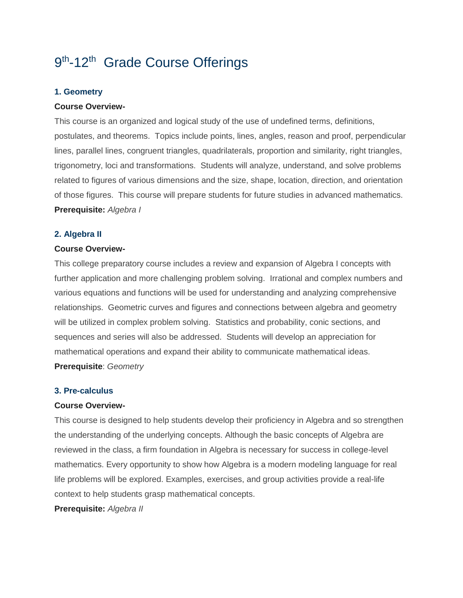# 9<sup>th</sup>-12<sup>th</sup> Grade Course Offerings

## **1. Geometry**

### **Course Overview-**

This course is an organized and logical study of the use of undefined terms, definitions, postulates, and theorems. Topics include points, lines, angles, reason and proof, perpendicular lines, parallel lines, congruent triangles, quadrilaterals, proportion and similarity, right triangles, trigonometry, loci and transformations. Students will analyze, understand, and solve problems related to figures of various dimensions and the size, shape, location, direction, and orientation of those figures. This course will prepare students for future studies in advanced mathematics. **Prerequisite:** *Algebra I*

## **2. Algebra II**

#### **Course Overview-**

This college preparatory course includes a review and expansion of Algebra I concepts with further application and more challenging problem solving. Irrational and complex numbers and various equations and functions will be used for understanding and analyzing comprehensive relationships. Geometric curves and figures and connections between algebra and geometry will be utilized in complex problem solving. Statistics and probability, conic sections, and sequences and series will also be addressed. Students will develop an appreciation for mathematical operations and expand their ability to communicate mathematical ideas. **Prerequisite**: *Geometry*

#### **3. Pre-calculus**

#### **Course Overview-**

This course is designed to help students develop their proficiency in Algebra and so strengthen the understanding of the underlying concepts. Although the basic concepts of Algebra are reviewed in the class, a firm foundation in Algebra is necessary for success in college-level mathematics. Every opportunity to show how Algebra is a modern modeling language for real life problems will be explored. Examples, exercises, and group activities provide a real-life context to help students grasp mathematical concepts.

**Prerequisite:** *Algebra II*